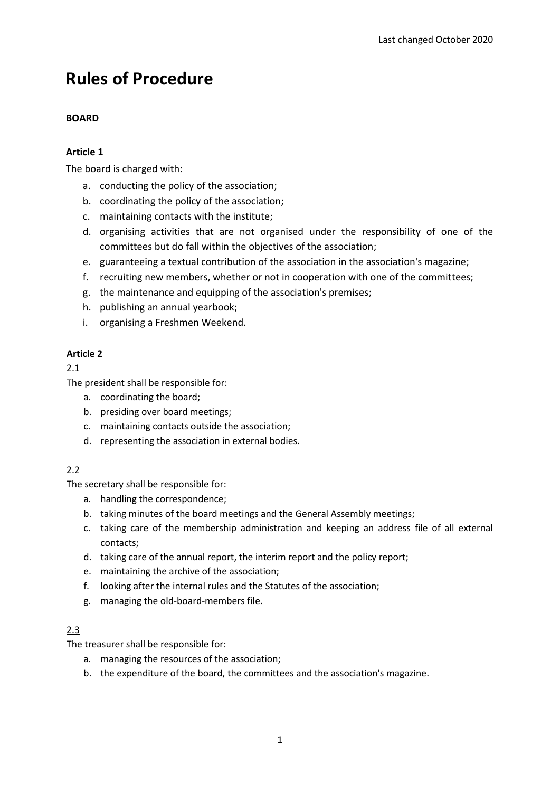# **Rules of Procedure**

# **BOARD**

# **Article 1**

The board is charged with:

- a. conducting the policy of the association;
- b. coordinating the policy of the association;
- c. maintaining contacts with the institute;
- d. organising activities that are not organised under the responsibility of one of the committees but do fall within the objectives of the association;
- e. guaranteeing a textual contribution of the association in the association's magazine;
- f. recruiting new members, whether or not in cooperation with one of the committees;
- g. the maintenance and equipping of the association's premises;
- h. publishing an annual yearbook;
- i. organising a Freshmen Weekend.

# **Article 2**

# 2.1

The president shall be responsible for:

- a. coordinating the board;
- b. presiding over board meetings;
- c. maintaining contacts outside the association;
- d. representing the association in external bodies.

# 2.2

The secretary shall be responsible for:

- a. handling the correspondence;
- b. taking minutes of the board meetings and the General Assembly meetings;
- c. taking care of the membership administration and keeping an address file of all external contacts;
- d. taking care of the annual report, the interim report and the policy report;
- e. maintaining the archive of the association;
- f. looking after the internal rules and the Statutes of the association;
- g. managing the old-board-members file.

# 2.3

The treasurer shall be responsible for:

- a. managing the resources of the association;
- b. the expenditure of the board, the committees and the association's magazine.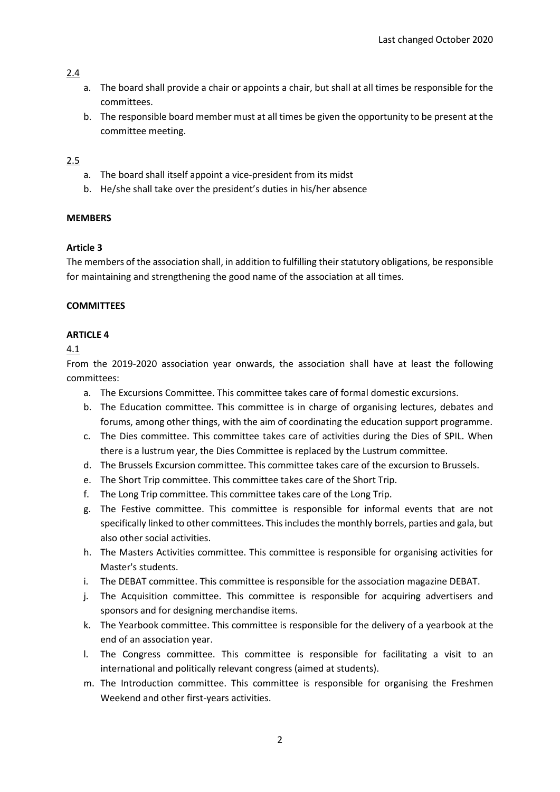- a. The board shall provide a chair or appoints a chair, but shall at all times be responsible for the committees.
- b. The responsible board member must at all times be given the opportunity to be present at the committee meeting.

### 2.5

- a. The board shall itself appoint a vice-president from its midst
- b. He/she shall take over the president's duties in his/her absence

### **MEMBERS**

### **Article 3**

The members of the association shall, in addition to fulfilling their statutory obligations, be responsible for maintaining and strengthening the good name of the association at all times.

### **COMMITTEES**

### **ARTICLE 4**

### 4.1

From the 2019-2020 association year onwards, the association shall have at least the following committees:

- a. The Excursions Committee. This committee takes care of formal domestic excursions.
- b. The Education committee. This committee is in charge of organising lectures, debates and forums, among other things, with the aim of coordinating the education support programme.
- c. The Dies committee. This committee takes care of activities during the Dies of SPIL. When there is a lustrum year, the Dies Committee is replaced by the Lustrum committee.
- d. The Brussels Excursion committee. This committee takes care of the excursion to Brussels.
- e. The Short Trip committee. This committee takes care of the Short Trip.
- f. The Long Trip committee. This committee takes care of the Long Trip.
- g. The Festive committee. This committee is responsible for informal events that are not specifically linked to other committees. This includes the monthly borrels, parties and gala, but also other social activities.
- h. The Masters Activities committee. This committee is responsible for organising activities for Master's students.
- i. The DEBAT committee. This committee is responsible for the association magazine DEBAT.
- j. The Acquisition committee. This committee is responsible for acquiring advertisers and sponsors and for designing merchandise items.
- k. The Yearbook committee. This committee is responsible for the delivery of a yearbook at the end of an association year.
- l. The Congress committee. This committee is responsible for facilitating a visit to an international and politically relevant congress (aimed at students).
- m. The Introduction committee. This committee is responsible for organising the Freshmen Weekend and other first-years activities.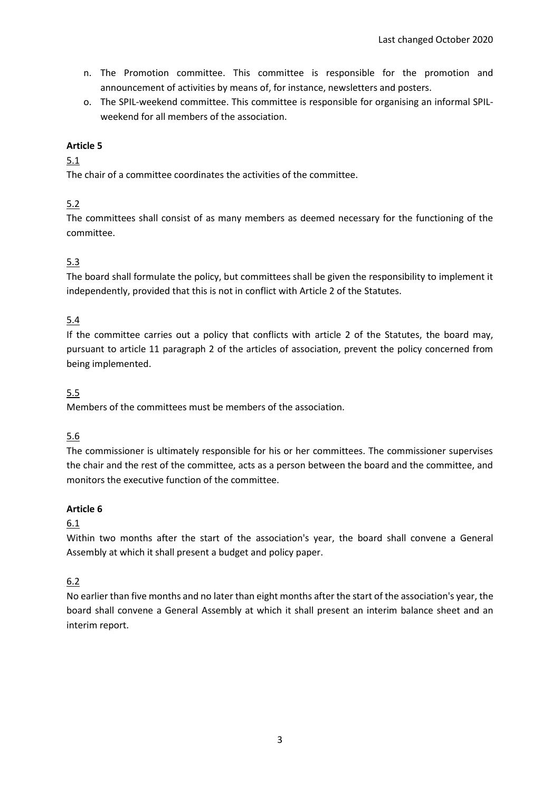- n. The Promotion committee. This committee is responsible for the promotion and announcement of activities by means of, for instance, newsletters and posters.
- o. The SPIL-weekend committee. This committee is responsible for organising an informal SPILweekend for all members of the association.

# 5.1

The chair of a committee coordinates the activities of the committee.

# 5.2

The committees shall consist of as many members as deemed necessary for the functioning of the committee.

# 5.3

The board shall formulate the policy, but committees shall be given the responsibility to implement it independently, provided that this is not in conflict with Article 2 of the Statutes.

### 5.4

If the committee carries out a policy that conflicts with article 2 of the Statutes, the board may, pursuant to article 11 paragraph 2 of the articles of association, prevent the policy concerned from being implemented.

### 5.5

Members of the committees must be members of the association.

### 5.6

The commissioner is ultimately responsible for his or her committees. The commissioner supervises the chair and the rest of the committee, acts as a person between the board and the committee, and monitors the executive function of the committee.

### **Article 6**

### 6.1

Within two months after the start of the association's year, the board shall convene a General Assembly at which it shall present a budget and policy paper.

# 6.2

No earlier than five months and no later than eight months after the start of the association's year, the board shall convene a General Assembly at which it shall present an interim balance sheet and an interim report.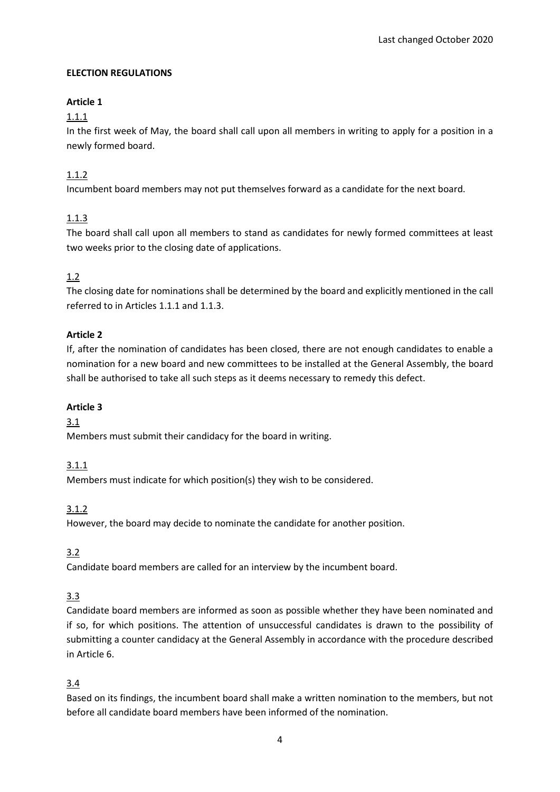### **ELECTION REGULATIONS**

# **Article 1**

1.1.1

In the first week of May, the board shall call upon all members in writing to apply for a position in a newly formed board.

# 1.1.2

Incumbent board members may not put themselves forward as a candidate for the next board.

# 1.1.3

The board shall call upon all members to stand as candidates for newly formed committees at least two weeks prior to the closing date of applications.

# 1.2

The closing date for nominations shall be determined by the board and explicitly mentioned in the call referred to in Articles 1.1.1 and 1.1.3.

### **Article 2**

If, after the nomination of candidates has been closed, there are not enough candidates to enable a nomination for a new board and new committees to be installed at the General Assembly, the board shall be authorised to take all such steps as it deems necessary to remedy this defect.

# **Article 3**

# 3.1

Members must submit their candidacy for the board in writing.

# 3.1.1

Members must indicate for which position(s) they wish to be considered.

# 3.1.2

However, the board may decide to nominate the candidate for another position.

# 3.2

Candidate board members are called for an interview by the incumbent board.

# 3.3

Candidate board members are informed as soon as possible whether they have been nominated and if so, for which positions. The attention of unsuccessful candidates is drawn to the possibility of submitting a counter candidacy at the General Assembly in accordance with the procedure described in Article 6.

# 3.4

Based on its findings, the incumbent board shall make a written nomination to the members, but not before all candidate board members have been informed of the nomination.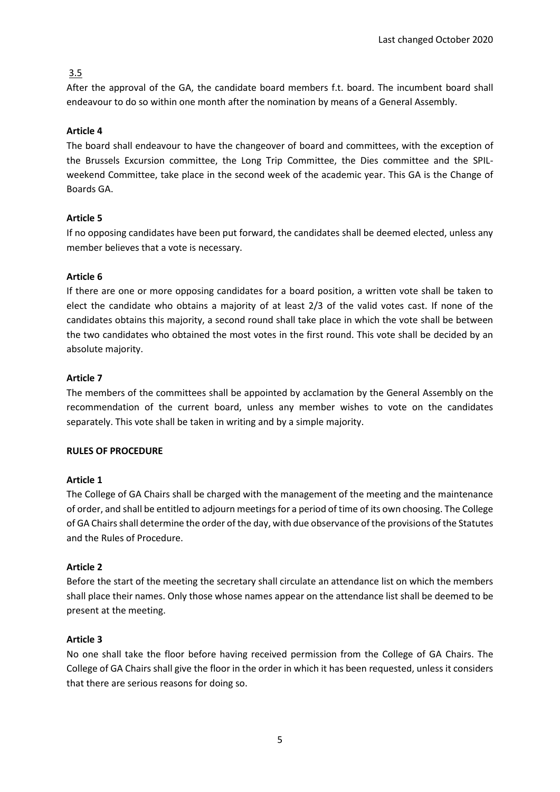After the approval of the GA, the candidate board members f.t. board. The incumbent board shall endeavour to do so within one month after the nomination by means of a General Assembly.

# **Article 4**

The board shall endeavour to have the changeover of board and committees, with the exception of the Brussels Excursion committee, the Long Trip Committee, the Dies committee and the SPILweekend Committee, take place in the second week of the academic year. This GA is the Change of Boards GA.

### **Article 5**

If no opposing candidates have been put forward, the candidates shall be deemed elected, unless any member believes that a vote is necessary.

### **Article 6**

If there are one or more opposing candidates for a board position, a written vote shall be taken to elect the candidate who obtains a majority of at least 2/3 of the valid votes cast. If none of the candidates obtains this majority, a second round shall take place in which the vote shall be between the two candidates who obtained the most votes in the first round. This vote shall be decided by an absolute majority.

### **Article 7**

The members of the committees shall be appointed by acclamation by the General Assembly on the recommendation of the current board, unless any member wishes to vote on the candidates separately. This vote shall be taken in writing and by a simple majority.

### **RULES OF PROCEDURE**

### **Article 1**

The College of GA Chairs shall be charged with the management of the meeting and the maintenance of order, and shall be entitled to adjourn meetings for a period of time of its own choosing. The College of GA Chairs shall determine the order of the day, with due observance of the provisions of the Statutes and the Rules of Procedure.

### **Article 2**

Before the start of the meeting the secretary shall circulate an attendance list on which the members shall place their names. Only those whose names appear on the attendance list shall be deemed to be present at the meeting.

### **Article 3**

No one shall take the floor before having received permission from the College of GA Chairs. The College of GA Chairs shall give the floor in the order in which it has been requested, unless it considers that there are serious reasons for doing so.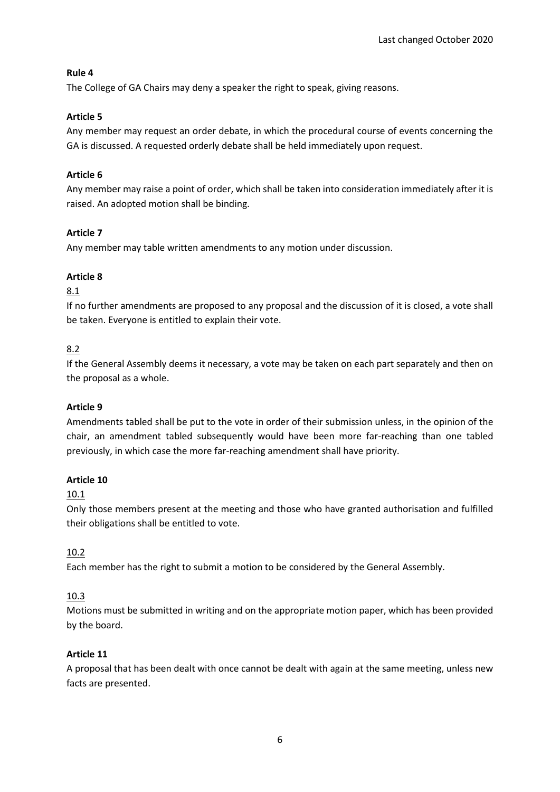### **Rule 4**

The College of GA Chairs may deny a speaker the right to speak, giving reasons.

### **Article 5**

Any member may request an order debate, in which the procedural course of events concerning the GA is discussed. A requested orderly debate shall be held immediately upon request.

### **Article 6**

Any member may raise a point of order, which shall be taken into consideration immediately after it is raised. An adopted motion shall be binding.

### **Article 7**

Any member may table written amendments to any motion under discussion.

### **Article 8**

### 8.1

If no further amendments are proposed to any proposal and the discussion of it is closed, a vote shall be taken. Everyone is entitled to explain their vote.

### 8.2

If the General Assembly deems it necessary, a vote may be taken on each part separately and then on the proposal as a whole.

### **Article 9**

Amendments tabled shall be put to the vote in order of their submission unless, in the opinion of the chair, an amendment tabled subsequently would have been more far-reaching than one tabled previously, in which case the more far-reaching amendment shall have priority.

### **Article 10**

### 10.1

Only those members present at the meeting and those who have granted authorisation and fulfilled their obligations shall be entitled to vote.

# 10.2

Each member has the right to submit a motion to be considered by the General Assembly.

# 10.3

Motions must be submitted in writing and on the appropriate motion paper, which has been provided by the board.

### **Article 11**

A proposal that has been dealt with once cannot be dealt with again at the same meeting, unless new facts are presented.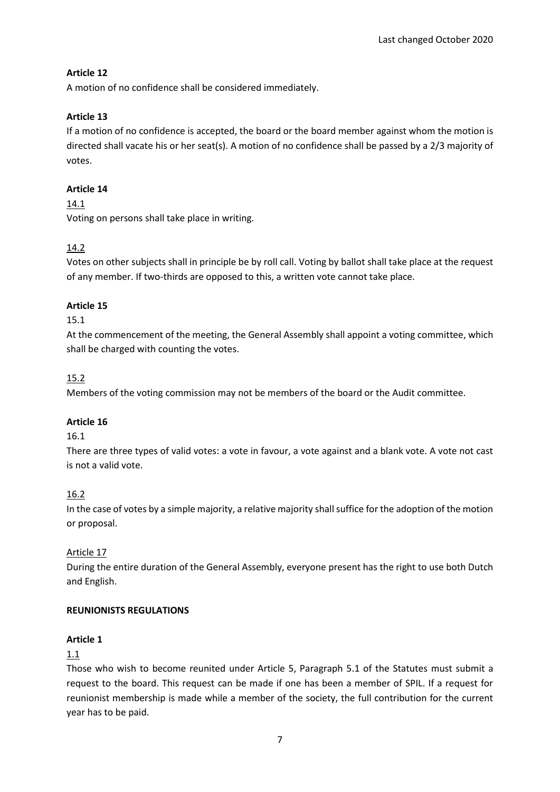A motion of no confidence shall be considered immediately.

### **Article 13**

If a motion of no confidence is accepted, the board or the board member against whom the motion is directed shall vacate his or her seat(s). A motion of no confidence shall be passed by a 2/3 majority of votes.

### **Article 14**

14.1

Voting on persons shall take place in writing.

# 14.2

Votes on other subjects shall in principle be by roll call. Voting by ballot shall take place at the request of any member. If two-thirds are opposed to this, a written vote cannot take place.

# **Article 15**

### 15.1

At the commencement of the meeting, the General Assembly shall appoint a voting committee, which shall be charged with counting the votes.

# 15.2

Members of the voting commission may not be members of the board or the Audit committee.

# **Article 16**

### 16.1

There are three types of valid votes: a vote in favour, a vote against and a blank vote. A vote not cast is not a valid vote.

# 16.2

In the case of votes by a simple majority, a relative majority shall suffice for the adoption of the motion or proposal.

# Article 17

During the entire duration of the General Assembly, everyone present has the right to use both Dutch and English.

# **REUNIONISTS REGULATIONS**

### **Article 1**

### 1.1

Those who wish to become reunited under Article 5, Paragraph 5.1 of the Statutes must submit a request to the board. This request can be made if one has been a member of SPIL. If a request for reunionist membership is made while a member of the society, the full contribution for the current year has to be paid.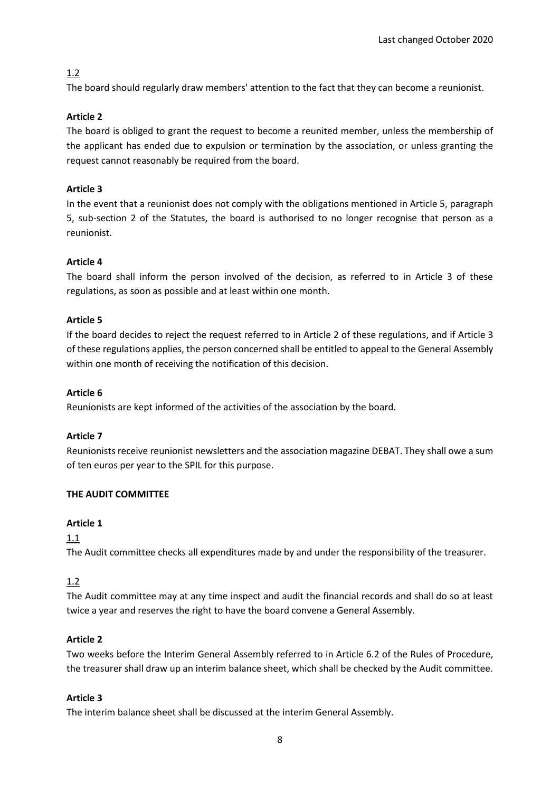The board should regularly draw members' attention to the fact that they can become a reunionist.

### **Article 2**

The board is obliged to grant the request to become a reunited member, unless the membership of the applicant has ended due to expulsion or termination by the association, or unless granting the request cannot reasonably be required from the board.

### **Article 3**

In the event that a reunionist does not comply with the obligations mentioned in Article 5, paragraph 5, sub-section 2 of the Statutes, the board is authorised to no longer recognise that person as a reunionist.

### **Article 4**

The board shall inform the person involved of the decision, as referred to in Article 3 of these regulations, as soon as possible and at least within one month.

### **Article 5**

If the board decides to reject the request referred to in Article 2 of these regulations, and if Article 3 of these regulations applies, the person concerned shall be entitled to appeal to the General Assembly within one month of receiving the notification of this decision.

### **Article 6**

Reunionists are kept informed of the activities of the association by the board.

### **Article 7**

Reunionists receive reunionist newsletters and the association magazine DEBAT. They shall owe a sum of ten euros per year to the SPIL for this purpose.

### **THE AUDIT COMMITTEE**

### **Article 1**

1.1

The Audit committee checks all expenditures made by and under the responsibility of the treasurer.

# 1.2

The Audit committee may at any time inspect and audit the financial records and shall do so at least twice a year and reserves the right to have the board convene a General Assembly.

### **Article 2**

Two weeks before the Interim General Assembly referred to in Article 6.2 of the Rules of Procedure, the treasurer shall draw up an interim balance sheet, which shall be checked by the Audit committee.

### **Article 3**

The interim balance sheet shall be discussed at the interim General Assembly.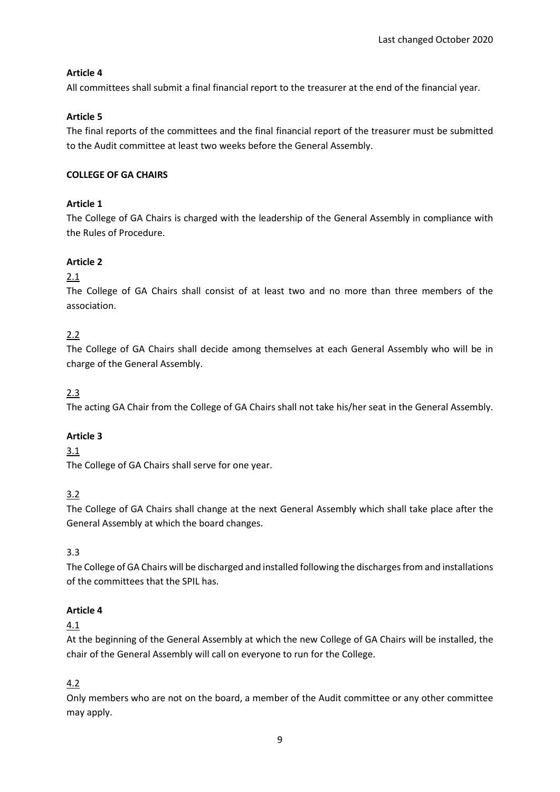All committees shall submit a final financial report to the treasurer at the end of the financial year.

# **Article 5**

The final reports of the committees and the final financial report of the treasurer must be submitted to the Audit committee at least two weeks before the General Assembly.

# **COLLEGE OF GA CHAIRS**

# **Article 1**

The College of GA Chairs is charged with the leadership of the General Assembly in compliance with the Rules of Procedure.

# **Article 2**

# 2.1

The College of GA Chairs shall consist of at least two and no more than three members of the association.

# 2.2

The College of GA Chairs shall decide among themselves at each General Assembly who will be in charge of the General Assembly.

# 2.3

The acting GA Chair from the College of GA Chairs shall not take his/her seat in the General Assembly.

# **Article 3**

# 3.1

The College of GA Chairs shall serve for one year.

# 3.2

The College of GA Chairs shall change at the next General Assembly which shall take place after the General Assembly at which the board changes.

# 3.3

The College of GA Chairs will be discharged and installed following the discharges from and installations of the committees that the SPIL has.

# **Article 4**

# 4.1

At the beginning of the General Assembly at which the new College of GA Chairs will be installed, the chair of the General Assembly will call on everyone to run for the College.

# 4.2

Only members who are not on the board, a member of the Audit committee or any other committee may apply.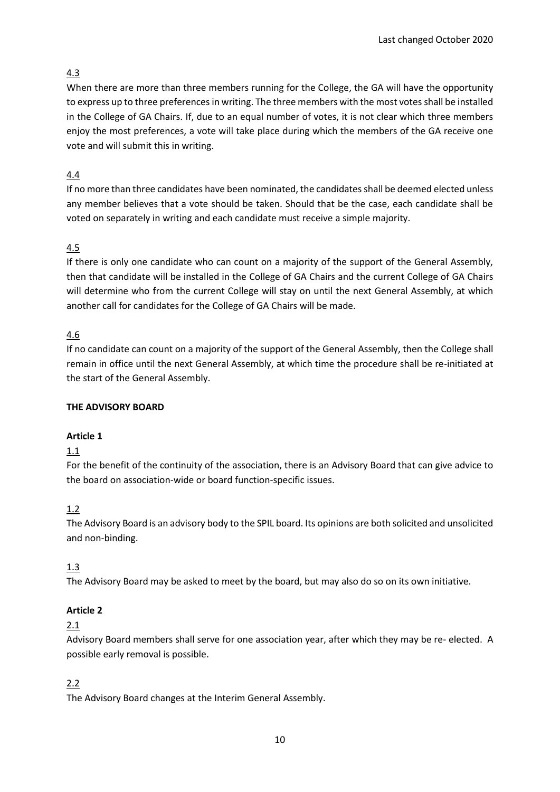When there are more than three members running for the College, the GA will have the opportunity to express up to three preferences in writing. The three members with the most votes shall be installed in the College of GA Chairs. If, due to an equal number of votes, it is not clear which three members enjoy the most preferences, a vote will take place during which the members of the GA receive one vote and will submit this in writing.

# 4.4

If no more than three candidates have been nominated, the candidates shall be deemed elected unless any member believes that a vote should be taken. Should that be the case, each candidate shall be voted on separately in writing and each candidate must receive a simple majority.

# 4.5

If there is only one candidate who can count on a majority of the support of the General Assembly, then that candidate will be installed in the College of GA Chairs and the current College of GA Chairs will determine who from the current College will stay on until the next General Assembly, at which another call for candidates for the College of GA Chairs will be made.

# 4.6

If no candidate can count on a majority of the support of the General Assembly, then the College shall remain in office until the next General Assembly, at which time the procedure shall be re-initiated at the start of the General Assembly.

### **THE ADVISORY BOARD**

# **Article 1**

### 1.1

For the benefit of the continuity of the association, there is an Advisory Board that can give advice to the board on association-wide or board function-specific issues.

# 1.2

The Advisory Board is an advisory body to the SPIL board. Its opinions are both solicited and unsolicited and non-binding.

# 1.3

The Advisory Board may be asked to meet by the board, but may also do so on its own initiative.

# **Article 2**

### 2.1

Advisory Board members shall serve for one association year, after which they may be re- elected. A possible early removal is possible.

# 2.2

The Advisory Board changes at the Interim General Assembly.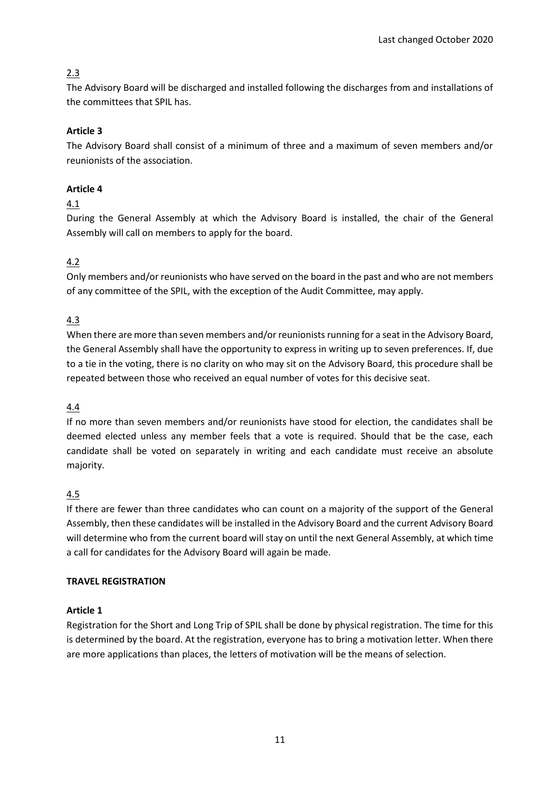The Advisory Board will be discharged and installed following the discharges from and installations of the committees that SPIL has.

# **Article 3**

The Advisory Board shall consist of a minimum of three and a maximum of seven members and/or reunionists of the association.

# **Article 4**

### 4.1

During the General Assembly at which the Advisory Board is installed, the chair of the General Assembly will call on members to apply for the board.

# 4.2

Only members and/or reunionists who have served on the board in the past and who are not members of any committee of the SPIL, with the exception of the Audit Committee, may apply.

### 4.3

When there are more than seven members and/or reunionists running for a seat in the Advisory Board, the General Assembly shall have the opportunity to express in writing up to seven preferences. If, due to a tie in the voting, there is no clarity on who may sit on the Advisory Board, this procedure shall be repeated between those who received an equal number of votes for this decisive seat.

### 4.4

If no more than seven members and/or reunionists have stood for election, the candidates shall be deemed elected unless any member feels that a vote is required. Should that be the case, each candidate shall be voted on separately in writing and each candidate must receive an absolute majority.

# 4.5

If there are fewer than three candidates who can count on a majority of the support of the General Assembly, then these candidates will be installed in the Advisory Board and the current Advisory Board will determine who from the current board will stay on until the next General Assembly, at which time a call for candidates for the Advisory Board will again be made.

### **TRAVEL REGISTRATION**

### **Article 1**

Registration for the Short and Long Trip of SPIL shall be done by physical registration. The time for this is determined by the board. At the registration, everyone has to bring a motivation letter. When there are more applications than places, the letters of motivation will be the means of selection.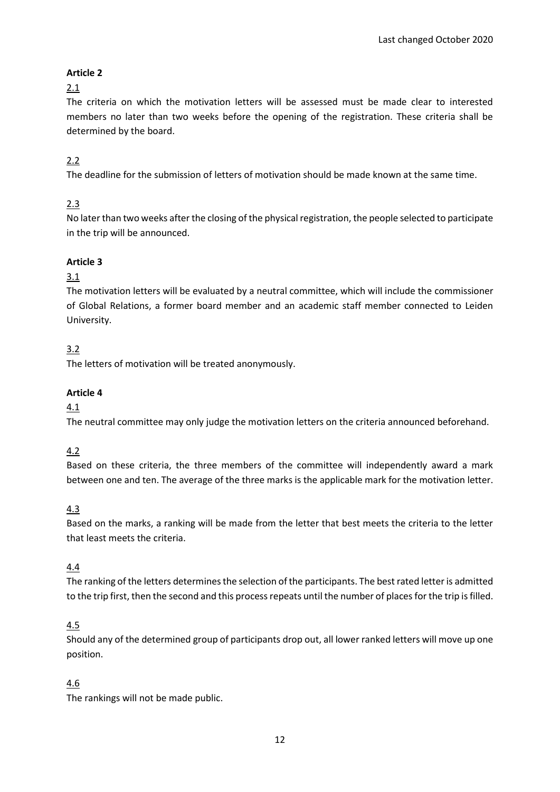# 2.1

The criteria on which the motivation letters will be assessed must be made clear to interested members no later than two weeks before the opening of the registration. These criteria shall be determined by the board.

# 2.2

The deadline for the submission of letters of motivation should be made known at the same time.

# 2.3

No later than two weeks after the closing of the physical registration, the people selected to participate in the trip will be announced.

### **Article 3**

# 3.1

The motivation letters will be evaluated by a neutral committee, which will include the commissioner of Global Relations, a former board member and an academic staff member connected to Leiden University.

# 3.2

The letters of motivation will be treated anonymously.

### **Article 4**

### 4.1

The neutral committee may only judge the motivation letters on the criteria announced beforehand.

# 4.2

Based on these criteria, the three members of the committee will independently award a mark between one and ten. The average of the three marks is the applicable mark for the motivation letter.

# 4.3

Based on the marks, a ranking will be made from the letter that best meets the criteria to the letter that least meets the criteria.

### 4.4

The ranking of the letters determines the selection of the participants. The best rated letter is admitted to the trip first, then the second and this process repeats until the number of places for the trip is filled.

# 4.5

Should any of the determined group of participants drop out, all lower ranked letters will move up one position.

# 4.6

The rankings will not be made public.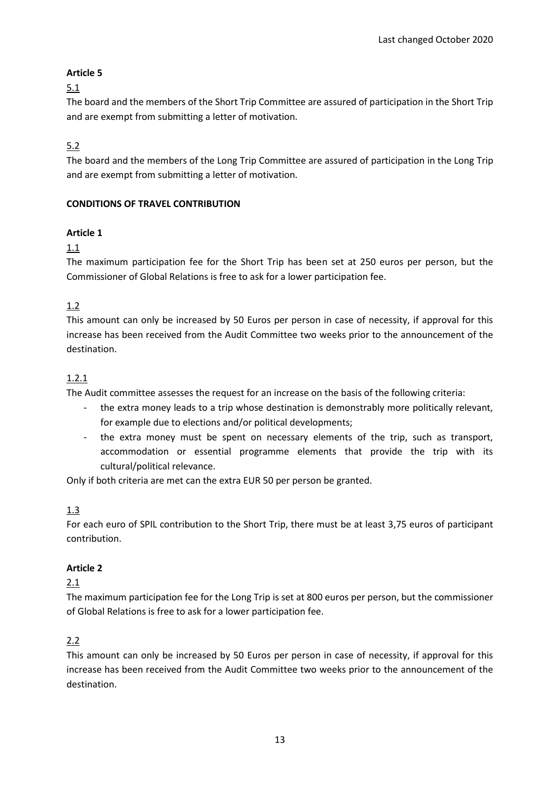# 5.1

The board and the members of the Short Trip Committee are assured of participation in the Short Trip and are exempt from submitting a letter of motivation.

# 5.2

The board and the members of the Long Trip Committee are assured of participation in the Long Trip and are exempt from submitting a letter of motivation.

# **CONDITIONS OF TRAVEL CONTRIBUTION**

# **Article 1**

# 1.1

The maximum participation fee for the Short Trip has been set at 250 euros per person, but the Commissioner of Global Relations is free to ask for a lower participation fee.

# 1.2

This amount can only be increased by 50 Euros per person in case of necessity, if approval for this increase has been received from the Audit Committee two weeks prior to the announcement of the destination.

# 1.2.1

The Audit committee assesses the request for an increase on the basis of the following criteria:

- the extra money leads to a trip whose destination is demonstrably more politically relevant, for example due to elections and/or political developments;
- the extra money must be spent on necessary elements of the trip, such as transport, accommodation or essential programme elements that provide the trip with its cultural/political relevance.

Only if both criteria are met can the extra EUR 50 per person be granted.

# 1.3

For each euro of SPIL contribution to the Short Trip, there must be at least 3,75 euros of participant contribution.

# **Article 2**

# 2.1

The maximum participation fee for the Long Trip is set at 800 euros per person, but the commissioner of Global Relations is free to ask for a lower participation fee.

# 2.2

This amount can only be increased by 50 Euros per person in case of necessity, if approval for this increase has been received from the Audit Committee two weeks prior to the announcement of the destination.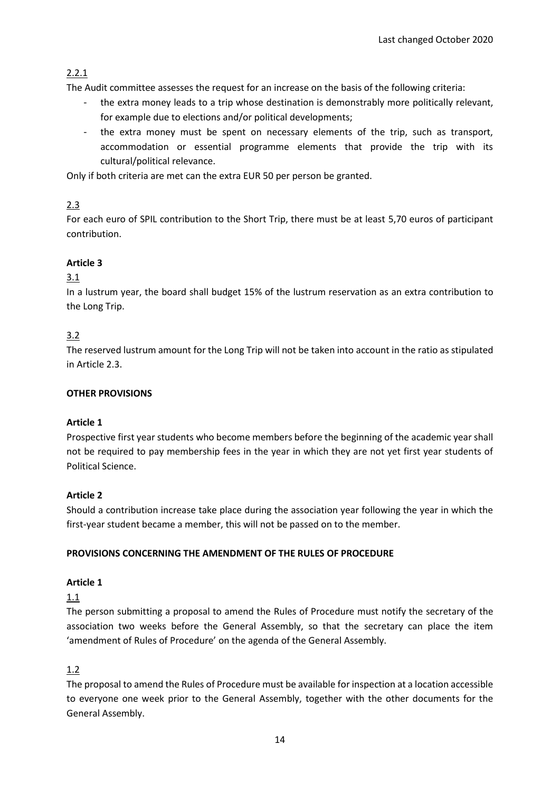# 2.2.1

The Audit committee assesses the request for an increase on the basis of the following criteria:

- the extra money leads to a trip whose destination is demonstrably more politically relevant, for example due to elections and/or political developments;
- the extra money must be spent on necessary elements of the trip, such as transport, accommodation or essential programme elements that provide the trip with its cultural/political relevance.

Only if both criteria are met can the extra EUR 50 per person be granted.

# 2.3

For each euro of SPIL contribution to the Short Trip, there must be at least 5,70 euros of participant contribution.

# **Article 3**

# 3.1

In a lustrum year, the board shall budget 15% of the lustrum reservation as an extra contribution to the Long Trip.

# 3.2

The reserved lustrum amount for the Long Trip will not be taken into account in the ratio as stipulated in Article 2.3.

# **OTHER PROVISIONS**

# **Article 1**

Prospective first year students who become members before the beginning of the academic year shall not be required to pay membership fees in the year in which they are not yet first year students of Political Science.

# **Article 2**

Should a contribution increase take place during the association year following the year in which the first-year student became a member, this will not be passed on to the member.

### **PROVISIONS CONCERNING THE AMENDMENT OF THE RULES OF PROCEDURE**

### **Article 1**

1.1

The person submitting a proposal to amend the Rules of Procedure must notify the secretary of the association two weeks before the General Assembly, so that the secretary can place the item 'amendment of Rules of Procedure' on the agenda of the General Assembly.

# 1.2

The proposal to amend the Rules of Procedure must be available for inspection at a location accessible to everyone one week prior to the General Assembly, together with the other documents for the General Assembly.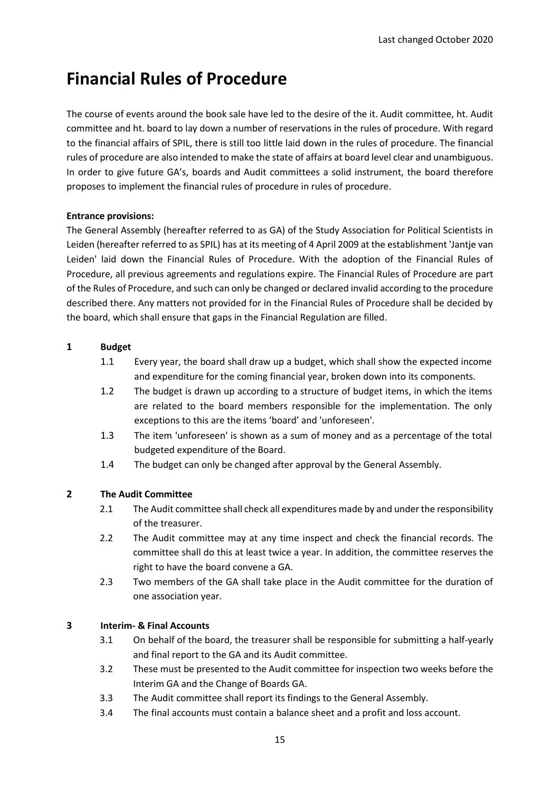# **Financial Rules of Procedure**

The course of events around the book sale have led to the desire of the it. Audit committee, ht. Audit committee and ht. board to lay down a number of reservations in the rules of procedure. With regard to the financial affairs of SPIL, there is still too little laid down in the rules of procedure. The financial rules of procedure are also intended to make the state of affairs at board level clear and unambiguous. In order to give future GA's, boards and Audit committees a solid instrument, the board therefore proposes to implement the financial rules of procedure in rules of procedure.

### **Entrance provisions:**

The General Assembly (hereafter referred to as GA) of the Study Association for Political Scientists in Leiden (hereafter referred to as SPIL) has at its meeting of 4 April 2009 at the establishment 'Jantje van Leiden' laid down the Financial Rules of Procedure. With the adoption of the Financial Rules of Procedure, all previous agreements and regulations expire. The Financial Rules of Procedure are part of the Rules of Procedure, and such can only be changed or declared invalid according to the procedure described there. Any matters not provided for in the Financial Rules of Procedure shall be decided by the board, which shall ensure that gaps in the Financial Regulation are filled.

### **1 Budget**

- 1.1 Every year, the board shall draw up a budget, which shall show the expected income and expenditure for the coming financial year, broken down into its components.
- 1.2 The budget is drawn up according to a structure of budget items, in which the items are related to the board members responsible for the implementation. The only exceptions to this are the items 'board' and 'unforeseen'.
- 1.3 The item 'unforeseen' is shown as a sum of money and as a percentage of the total budgeted expenditure of the Board.
- 1.4 The budget can only be changed after approval by the General Assembly.

# **2 The Audit Committee**

- 2.1 The Audit committee shall check all expenditures made by and under the responsibility of the treasurer.
- 2.2 The Audit committee may at any time inspect and check the financial records. The committee shall do this at least twice a year. In addition, the committee reserves the right to have the board convene a GA.
- 2.3 Two members of the GA shall take place in the Audit committee for the duration of one association year.

### **3 Interim- & Final Accounts**

- 3.1 On behalf of the board, the treasurer shall be responsible for submitting a half-yearly and final report to the GA and its Audit committee.
- 3.2 These must be presented to the Audit committee for inspection two weeks before the Interim GA and the Change of Boards GA.
- 3.3 The Audit committee shall report its findings to the General Assembly.
- 3.4 The final accounts must contain a balance sheet and a profit and loss account.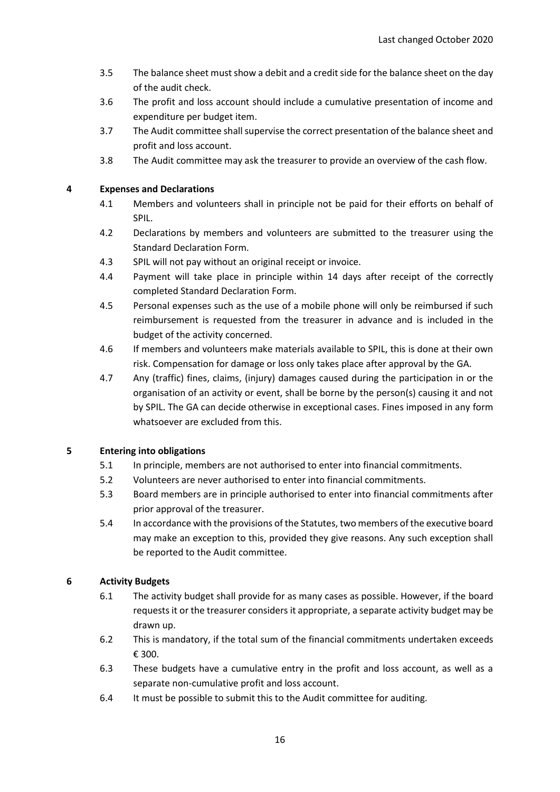- 3.5 The balance sheet must show a debit and a credit side for the balance sheet on the day of the audit check.
- 3.6 The profit and loss account should include a cumulative presentation of income and expenditure per budget item.
- 3.7 The Audit committee shall supervise the correct presentation of the balance sheet and profit and loss account.
- 3.8 The Audit committee may ask the treasurer to provide an overview of the cash flow.

#### **4 Expenses and Declarations**

- 4.1 Members and volunteers shall in principle not be paid for their efforts on behalf of SPIL.
- 4.2 Declarations by members and volunteers are submitted to the treasurer using the Standard Declaration Form.
- 4.3 SPIL will not pay without an original receipt or invoice.
- 4.4 Payment will take place in principle within 14 days after receipt of the correctly completed Standard Declaration Form.
- 4.5 Personal expenses such as the use of a mobile phone will only be reimbursed if such reimbursement is requested from the treasurer in advance and is included in the budget of the activity concerned.
- 4.6 If members and volunteers make materials available to SPIL, this is done at their own risk. Compensation for damage or loss only takes place after approval by the GA.
- 4.7 Any (traffic) fines, claims, (injury) damages caused during the participation in or the organisation of an activity or event, shall be borne by the person(s) causing it and not by SPIL. The GA can decide otherwise in exceptional cases. Fines imposed in any form whatsoever are excluded from this.

### **5 Entering into obligations**

- 5.1 In principle, members are not authorised to enter into financial commitments.
- 5.2 Volunteers are never authorised to enter into financial commitments.
- 5.3 Board members are in principle authorised to enter into financial commitments after prior approval of the treasurer.
- 5.4 In accordance with the provisions of the Statutes, two members of the executive board may make an exception to this, provided they give reasons. Any such exception shall be reported to the Audit committee.

### **6 Activity Budgets**

- 6.1 The activity budget shall provide for as many cases as possible. However, if the board requests it or the treasurer considers it appropriate, a separate activity budget may be drawn up.
- 6.2 This is mandatory, if the total sum of the financial commitments undertaken exceeds € 300.
- 6.3 These budgets have a cumulative entry in the profit and loss account, as well as a separate non-cumulative profit and loss account.
- 6.4 It must be possible to submit this to the Audit committee for auditing.